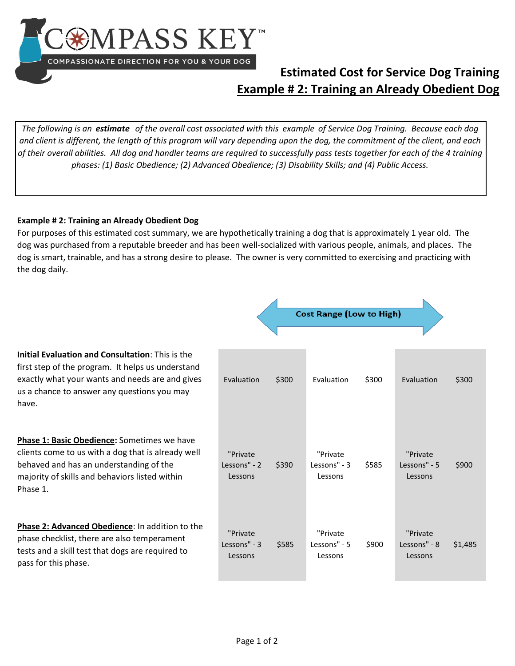

## **Estimated Cost for Service Dog Training Example # 2: Training an Already Obedient Dog**

*The following is an estimate of the overall cost associated with this example of Service Dog Training. Because each dog and client is different, the length of this program will vary depending upon the dog, the commitment of the client, and each of their overall abilities. All dog and handler teams are required to successfully pass tests together for each of the 4 training phases: (1) Basic Obedience; (2) Advanced Obedience; (3) Disability Skills; and (4) Public Access.* 

## **Example # 2: Training an Already Obedient Dog**

For purposes of this estimated cost summary, we are hypothetically training a dog that is approximately 1 year old. The dog was purchased from a reputable breeder and has been well-socialized with various people, animals, and places. The dog is smart, trainable, and has a strong desire to please. The owner is very committed to exercising and practicing with the dog daily.

|                                                                                                                                                                                                                  | <b>Cost Range (Low to High)</b>     |       |                                     |       |                                     |         |  |  |
|------------------------------------------------------------------------------------------------------------------------------------------------------------------------------------------------------------------|-------------------------------------|-------|-------------------------------------|-------|-------------------------------------|---------|--|--|
| Initial Evaluation and Consultation: This is the<br>first step of the program. It helps us understand<br>exactly what your wants and needs are and gives<br>us a chance to answer any questions you may<br>have. | Evaluation                          | \$300 | <b>Fyaluation</b>                   | \$300 | Evaluation                          | \$300   |  |  |
| Phase 1: Basic Obedience: Sometimes we have<br>clients come to us with a dog that is already well<br>behaved and has an understanding of the<br>majority of skills and behaviors listed within<br>Phase 1.       | "Private<br>Lessons" - 2<br>Lessons | \$390 | "Private<br>Lessons" - 3<br>Lessons | \$585 | "Private<br>Lessons" - 5<br>Lessons | \$900   |  |  |
| Phase 2: Advanced Obedience: In addition to the<br>phase checklist, there are also temperament<br>tests and a skill test that dogs are required to<br>pass for this phase.                                       | "Private<br>Lessons" - 3<br>Lessons | \$585 | "Private<br>Lessons" - 5<br>Lessons | \$900 | "Private<br>Lessons" - 8<br>Lessons | \$1,485 |  |  |